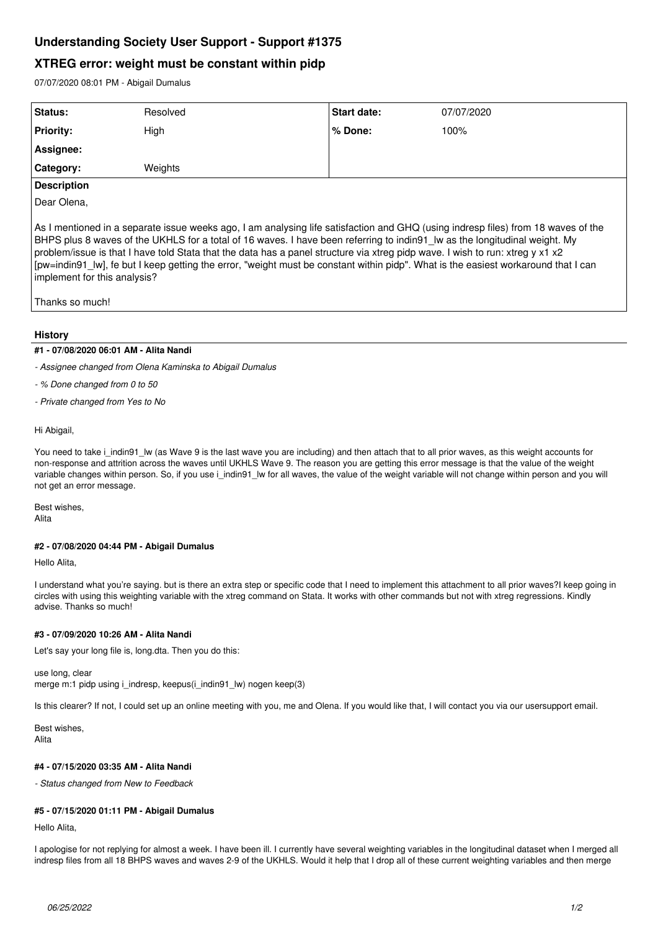# **Understanding Society User Support - Support #1375**

# **XTREG error: weight must be constant within pidp**

07/07/2020 08:01 PM - Abigail Dumalus

| Status:            | Resolved | Start date: | 07/07/2020 |
|--------------------|----------|-------------|------------|
| <b>Priority:</b>   | High     | ∣% Done:    | 100%       |
| Assignee:          |          |             |            |
| Category:          | Weights  |             |            |
| <b>Description</b> |          |             |            |

Dear Olena,

As I mentioned in a separate issue weeks ago, I am analysing life satisfaction and GHQ (using indresp files) from 18 waves of the BHPS plus 8 waves of the UKHLS for a total of 16 waves. I have been referring to indin91\_lw as the longitudinal weight. My problem/issue is that I have told Stata that the data has a panel structure via xtreg pidp wave. I wish to run: xtreg y x1 x2 [pw=indin91\_lw], fe but I keep getting the error, "weight must be constant within pidp". What is the easiest workaround that I can implement for this analysis?

Thanks so much!

## **History**

## **#1 - 07/08/2020 06:01 AM - Alita Nandi**

*- Assignee changed from Olena Kaminska to Abigail Dumalus*

*- % Done changed from 0 to 50*

*- Private changed from Yes to No*

#### Hi Abigail,

You need to take i\_indin91\_lw (as Wave 9 is the last wave you are including) and then attach that to all prior waves, as this weight accounts for non-response and attrition across the waves until UKHLS Wave 9. The reason you are getting this error message is that the value of the weight variable changes within person. So, if you use i\_indin91\_lw for all waves, the value of the weight variable will not change within person and you will not get an error message.

Best wishes, Alita

#### **#2 - 07/08/2020 04:44 PM - Abigail Dumalus**

Hello Alita,

I understand what you're saying. but is there an extra step or specific code that I need to implement this attachment to all prior waves?I keep going in circles with using this weighting variable with the xtreg command on Stata. It works with other commands but not with xtreg regressions. Kindly advise. Thanks so much!

# **#3 - 07/09/2020 10:26 AM - Alita Nandi**

Let's say your long file is, long.dta. Then you do this:

use long, clear merge m:1 pidp using i\_indresp, keepus(i\_indin91\_lw) nogen keep(3)

Is this clearer? If not, I could set up an online meeting with you, me and Olena. If you would like that, I will contact you via our usersupport email.

Best wishes, Alita

# **#4 - 07/15/2020 03:35 AM - Alita Nandi**

*- Status changed from New to Feedback*

# **#5 - 07/15/2020 01:11 PM - Abigail Dumalus**

Hello Alita,

I apologise for not replying for almost a week. I have been ill. I currently have several weighting variables in the longitudinal dataset when I merged all indresp files from all 18 BHPS waves and waves 2-9 of the UKHLS. Would it help that I drop all of these current weighting variables and then merge